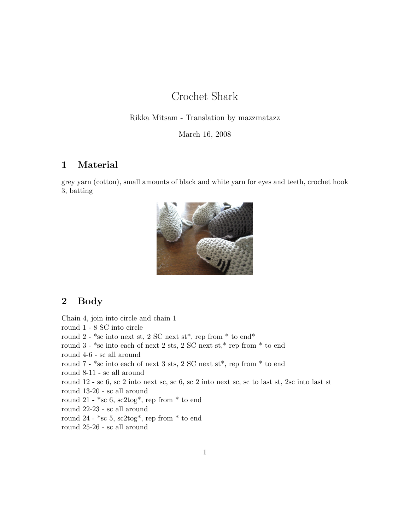## Crochet Shark

#### Rikka Mitsam - Translation by mazzmatazz

March 16, 2008

## 1 Material

grey yarn (cotton), small amounts of black and white yarn for eyes and teeth, crochet hook 3, batting



### 2 Body

Chain 4, join into circle and chain 1 round 1 - 8 SC into circle round 2 -  $*<sub>sc</sub>$  into next st, 2 SC next st<sup>\*</sup>, rep from  $*$  to end<sup>\*</sup> round  $3 - *sc$  into each of next 2 sts, 2 SC next st, $*$  rep from  $*$  to end round 4-6 - sc all around round 7 - \*sc into each of next 3 sts, 2 SC next st\*, rep from \* to end round 8-11 - sc all around round 12 - sc 6, sc 2 into next sc, sc 6, sc 2 into next sc, sc to last st, 2sc into last st round 13-20 - sc all around round 21 -  $*<sub>sc</sub> 6$ ,  $sc2<sub>tog</sub>*$ , rep from  $*$  to end round 22-23 - sc all around round 24 -  $*<sub>sc</sub> 5, sc2tog*, rep from * to end$ round 25-26 - sc all around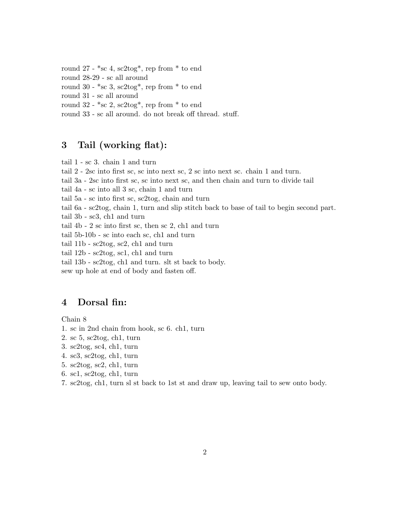round 27 -  $*<sub>sc</sub> 4$ ,  $sc2<sub>tog</sub>*$ , rep from  $*$  to end round 28-29 - sc all around round 30 -  $*<sub>sc</sub> 3$ ,  $sc2<sub>tog</sub>*$ , rep from  $*$  to end round 31 - sc all around round  $32 - \text{*sc } 2$ ,  $\text{sc}2\text{tog*}$ , rep from  $\text{*}$  to end round 33 - sc all around. do not break off thread. stuff.

#### 3 Tail (working flat):

tail 1 - sc 3. chain 1 and turn tail 2 - 2sc into first sc, sc into next sc, 2 sc into next sc. chain 1 and turn. tail 3a - 2sc into first sc, sc into next sc, and then chain and turn to divide tail tail 4a - sc into all 3 sc, chain 1 and turn tail 5a - sc into first sc, sc2tog, chain and turn tail 6a - sc2tog, chain 1, turn and slip stitch back to base of tail to begin second part. tail 3b - sc3, ch1 and turn tail 4b - 2 sc into first sc, then sc 2, ch1 and turn tail 5b-10b - sc into each sc, ch1 and turn tail 11b - sc2tog, sc2, ch1 and turn tail 12b - sc2tog, sc1, ch1 and turn tail 13b - sc2tog, ch1 and turn. slt st back to body. sew up hole at end of body and fasten off.

### 4 Dorsal fin:

Chain 8

- 1. sc in 2nd chain from hook, sc 6. ch1, turn
- 2. sc 5, sc2tog, ch1, turn
- 3. sc2tog, sc4, ch1, turn
- 4. sc3, sc2tog, ch1, turn
- 5. sc2tog, sc2, ch1, turn
- 6. sc1, sc2tog, ch1, turn
- 7. sc2tog, ch1, turn sl st back to 1st st and draw up, leaving tail to sew onto body.